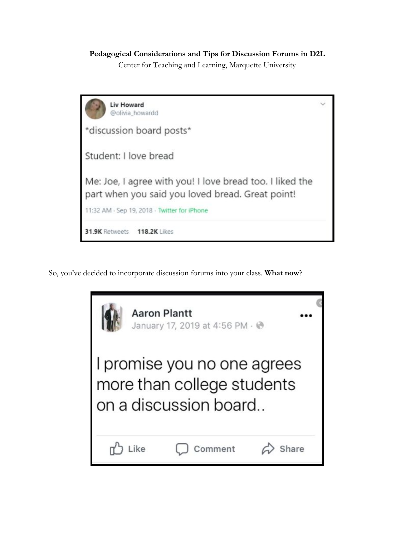## **Pedagogical Considerations and Tips for Discussion Forums in D2L**

Center for Teaching and Learning, Marquette University

| <b>Liv Howard</b><br>@olivia_howardd                                                                         |  |
|--------------------------------------------------------------------------------------------------------------|--|
| *discussion board posts*                                                                                     |  |
| Student: I love bread                                                                                        |  |
| Me: Joe, I agree with you! I love bread too. I liked the<br>part when you said you loved bread. Great point! |  |
| 11:32 AM - Sep 19, 2018 - Twitter for iPhone                                                                 |  |
| 31.9K Retweets 118.2K Likes                                                                                  |  |

So, you've decided to incorporate discussion forums into your class. **What now**?

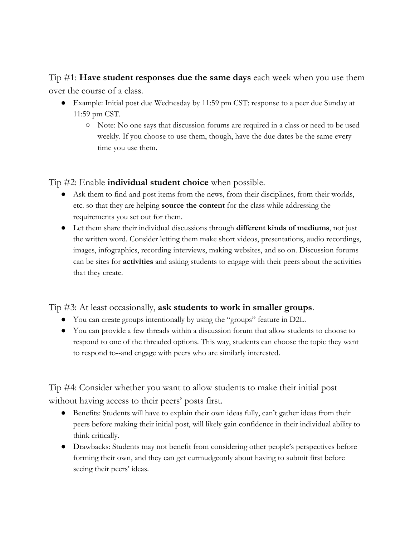Tip #1: **Have student responses due the same days** each week when you use them over the course of a class.

- Example: Initial post due Wednesday by 11:59 pm CST; response to a peer due Sunday at 11:59 pm CST.
	- Note: No one says that discussion forums are required in a class or need to be used weekly. If you choose to use them, though, have the due dates be the same every time you use them.

Tip #2: Enable **individual student choice** when possible.

- Ask them to find and post items from the news, from their disciplines, from their worlds, etc. so that they are helping **source the content** for the class while addressing the requirements you set out for them.
- Let them share their individual discussions through **different kinds of mediums**, not just the written word. Consider letting them make short videos, presentations, audio recordings, images, infographics, recording interviews, making websites, and so on. Discussion forums can be sites for **activities** and asking students to engage with their peers about the activities that they create.

## Tip #3: At least occasionally, **ask students to work in smaller groups**.

- You can create groups intentionally by using the "groups" feature in D2L.
- You can provide a few threads within a discussion forum that allow students to choose to respond to one of the threaded options. This way, students can choose the topic they want to respond to--and engage with peers who are similarly interested.

Tip #4: Consider whether you want to allow students to make their initial post without having access to their peers' posts first.

- Benefits: Students will have to explain their own ideas fully, can't gather ideas from their peers before making their initial post, will likely gain confidence in their individual ability to think critically.
- Drawbacks: Students may not benefit from considering other people's perspectives before forming their own, and they can get curmudgeonly about having to submit first before seeing their peers' ideas.